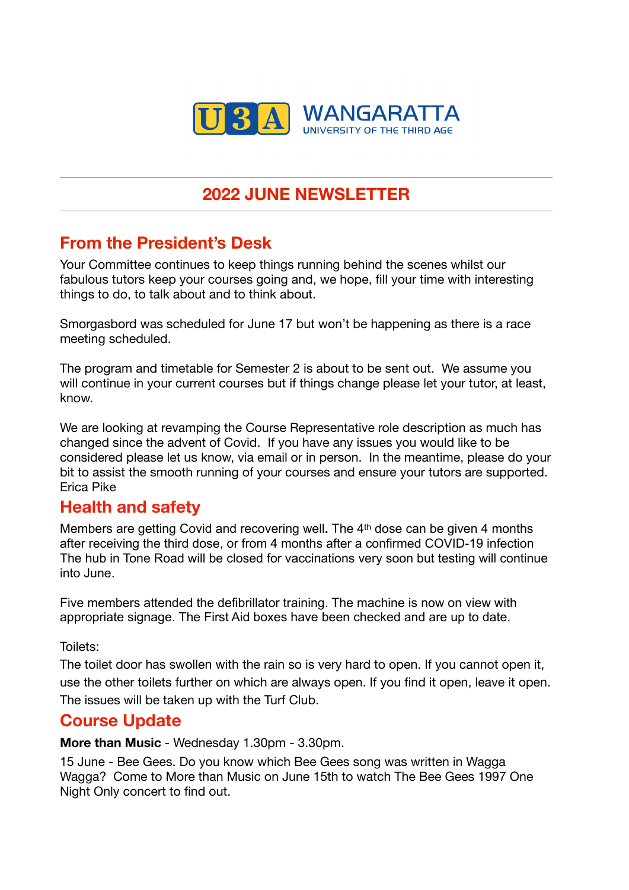

# **2022 JUNE NEWSLETTER**

# **From the President's Desk**

Your Committee continues to keep things running behind the scenes whilst our fabulous tutors keep your courses going and, we hope, fill your time with interesting things to do, to talk about and to think about.

Smorgasbord was scheduled for June 17 but won't be happening as there is a race meeting scheduled.

The program and timetable for Semester 2 is about to be sent out. We assume you will continue in your current courses but if things change please let your tutor, at least, know.

We are looking at revamping the Course Representative role description as much has changed since the advent of Covid. If you have any issues you would like to be considered please let us know, via email or in person. In the meantime, please do your bit to assist the smooth running of your courses and ensure your tutors are supported. Erica Pike

### **Health and safety**

Members are getting Covid and recovering well**.** The 4th dose can be given 4 months after receiving the third dose, or from 4 months after a confirmed COVID-19 infection The hub in Tone Road will be closed for vaccinations very soon but testing will continue into June.

Five members attended the defibrillator training. The machine is now on view with appropriate signage. The First Aid boxes have been checked and are up to date.

Toilets:

The toilet door has swollen with the rain so is very hard to open. If you cannot open it, use the other toilets further on which are always open. If you find it open, leave it open. The issues will be taken up with the Turf Club.

### **Course Update**

**More than Music** - Wednesday 1.30pm - 3.30pm.

15 June - Bee Gees. Do you know which Bee Gees song was written in Wagga Wagga? Come to More than Music on June 15th to watch The Bee Gees 1997 One Night Only concert to find out.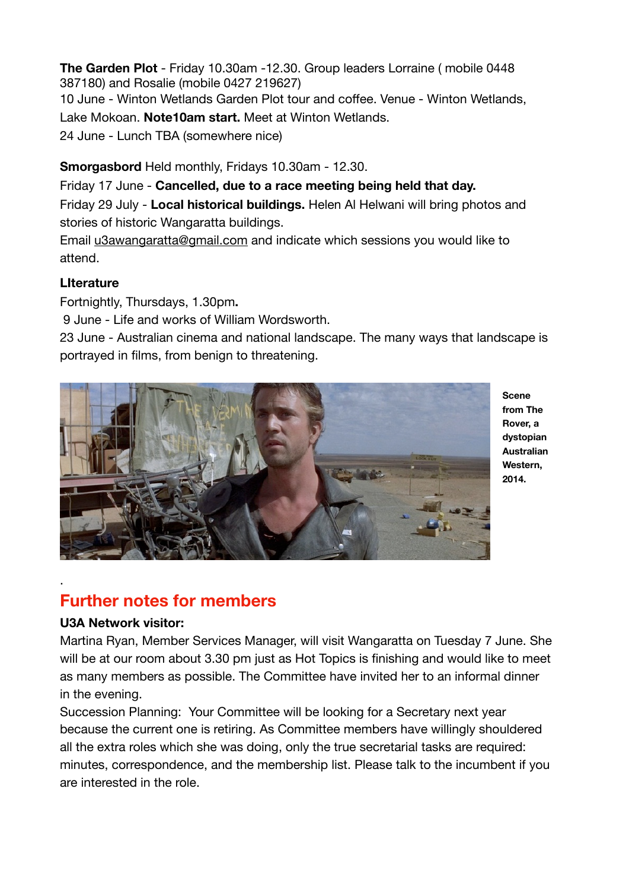**The Garden Plot** - Friday 10.30am -12.30. Group leaders Lorraine ( mobile 0448 387180) and Rosalie (mobile 0427 219627) 10 June - Winton Wetlands Garden Plot tour and coffee. Venue - Winton Wetlands, Lake Mokoan. **Note10am start.** Meet at Winton Wetlands. 24 June - Lunch TBA (somewhere nice)

**Smorgasbord** Held monthly, Fridays 10.30am - 12.30.

Friday 17 June - **Cancelled, due to a race meeting being held that day.** 

Friday 29 July - **Local historical buildings.** Helen Al Helwani will bring photos and stories of historic Wangaratta buildings.

Email [u3awangaratta@gmail.com](mailto:u3awangaratta@gmail.com) and indicate which sessions you would like to attend.

### **LIterature**

Fortnightly, Thursdays, 1.30pm**.** 

9 June - Life and works of William Wordsworth.

23 June - Australian cinema and national landscape. The many ways that landscape is portrayed in films, from benign to threatening.



**Scene from The Rover, a dystopian Australian Western, 2014.** 

## **Further notes for members**

#### **U3A Network visitor:**

.

Martina Ryan, Member Services Manager, will visit Wangaratta on Tuesday 7 June. She will be at our room about 3.30 pm just as Hot Topics is finishing and would like to meet as many members as possible. The Committee have invited her to an informal dinner in the evening.

Succession Planning: Your Committee will be looking for a Secretary next year because the current one is retiring. As Committee members have willingly shouldered all the extra roles which she was doing, only the true secretarial tasks are required: minutes, correspondence, and the membership list. Please talk to the incumbent if you are interested in the role.